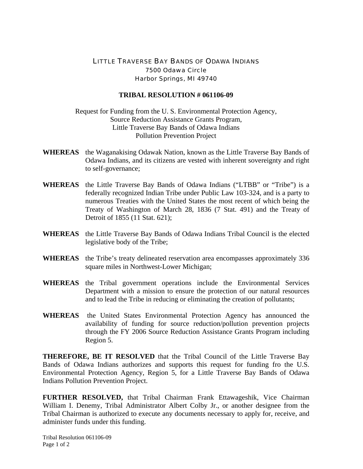## LITTLE TRAVERSE BAY BANDS OF ODAWA INDIANS 7500 Odawa Circle Harbor Springs, MI 49740

## **TRIBAL RESOLUTION # 061106-09**

Request for Funding from the U. S. Environmental Protection Agency, Source Reduction Assistance Grants Program, Little Traverse Bay Bands of Odawa Indians Pollution Prevention Project

- **WHEREAS** the Waganakising Odawak Nation, known as the Little Traverse Bay Bands of Odawa Indians, and its citizens are vested with inherent sovereignty and right to self-governance;
- **WHEREAS** the Little Traverse Bay Bands of Odawa Indians ("LTBB" or "Tribe") is a federally recognized Indian Tribe under Public Law 103-324, and is a party to numerous Treaties with the United States the most recent of which being the Treaty of Washington of March 28, 1836 (7 Stat. 491) and the Treaty of Detroit of 1855 (11 Stat. 621);
- **WHEREAS** the Little Traverse Bay Bands of Odawa Indians Tribal Council is the elected legislative body of the Tribe;
- **WHEREAS** the Tribe's treaty delineated reservation area encompasses approximately 336 square miles in Northwest-Lower Michigan;
- **WHEREAS** the Tribal government operations include the Environmental Services Department with a mission to ensure the protection of our natural resources and to lead the Tribe in reducing or eliminating the creation of pollutants;
- **WHEREAS** the United States Environmental Protection Agency has announced the availability of funding for source reduction/pollution prevention projects through the FY 2006 Source Reduction Assistance Grants Program including Region 5.

**THEREFORE, BE IT RESOLVED** that the Tribal Council of the Little Traverse Bay Bands of Odawa Indians authorizes and supports this request for funding fro the U.S. Environmental Protection Agency, Region 5, for a Little Traverse Bay Bands of Odawa Indians Pollution Prevention Project.

**FURTHER RESOLVED,** that Tribal Chairman Frank Ettawageshik, Vice Chairman William I. Denemy, Tribal Administrator Albert Colby Jr., or another designee from the Tribal Chairman is authorized to execute any documents necessary to apply for, receive, and administer funds under this funding.